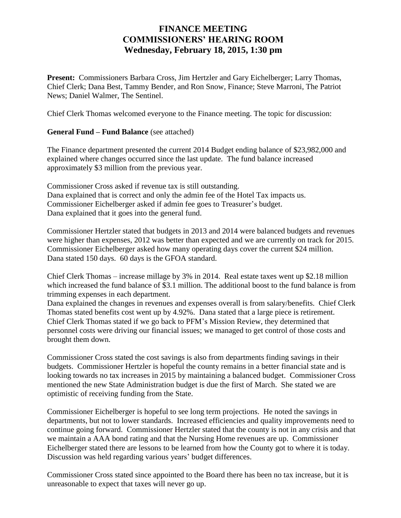## **FINANCE MEETING COMMISSIONERS' HEARING ROOM Wednesday, February 18, 2015, 1:30 pm**

**Present:** Commissioners Barbara Cross, Jim Hertzler and Gary Eichelberger; Larry Thomas, Chief Clerk; Dana Best, Tammy Bender, and Ron Snow, Finance; Steve Marroni, The Patriot News; Daniel Walmer, The Sentinel.

Chief Clerk Thomas welcomed everyone to the Finance meeting. The topic for discussion:

## **General Fund – Fund Balance** (see attached)

The Finance department presented the current 2014 Budget ending balance of \$23,982,000 and explained where changes occurred since the last update. The fund balance increased approximately \$3 million from the previous year.

Commissioner Cross asked if revenue tax is still outstanding. Dana explained that is correct and only the admin fee of the Hotel Tax impacts us. Commissioner Eichelberger asked if admin fee goes to Treasurer's budget. Dana explained that it goes into the general fund.

Commissioner Hertzler stated that budgets in 2013 and 2014 were balanced budgets and revenues were higher than expenses, 2012 was better than expected and we are currently on track for 2015. Commissioner Eichelberger asked how many operating days cover the current \$24 million. Dana stated 150 days. 60 days is the GFOA standard.

Chief Clerk Thomas – increase millage by 3% in 2014. Real estate taxes went up \$2.18 million which increased the fund balance of \$3.1 million. The additional boost to the fund balance is from trimming expenses in each department.

Dana explained the changes in revenues and expenses overall is from salary/benefits. Chief Clerk Thomas stated benefits cost went up by 4.92%. Dana stated that a large piece is retirement. Chief Clerk Thomas stated if we go back to PFM's Mission Review, they determined that personnel costs were driving our financial issues; we managed to get control of those costs and brought them down.

Commissioner Cross stated the cost savings is also from departments finding savings in their budgets. Commissioner Hertzler is hopeful the county remains in a better financial state and is looking towards no tax increases in 2015 by maintaining a balanced budget. Commissioner Cross mentioned the new State Administration budget is due the first of March. She stated we are optimistic of receiving funding from the State.

Commissioner Eichelberger is hopeful to see long term projections. He noted the savings in departments, but not to lower standards. Increased efficiencies and quality improvements need to continue going forward. Commissioner Hertzler stated that the county is not in any crisis and that we maintain a AAA bond rating and that the Nursing Home revenues are up. Commissioner Eichelberger stated there are lessons to be learned from how the County got to where it is today. Discussion was held regarding various years' budget differences.

Commissioner Cross stated since appointed to the Board there has been no tax increase, but it is unreasonable to expect that taxes will never go up.